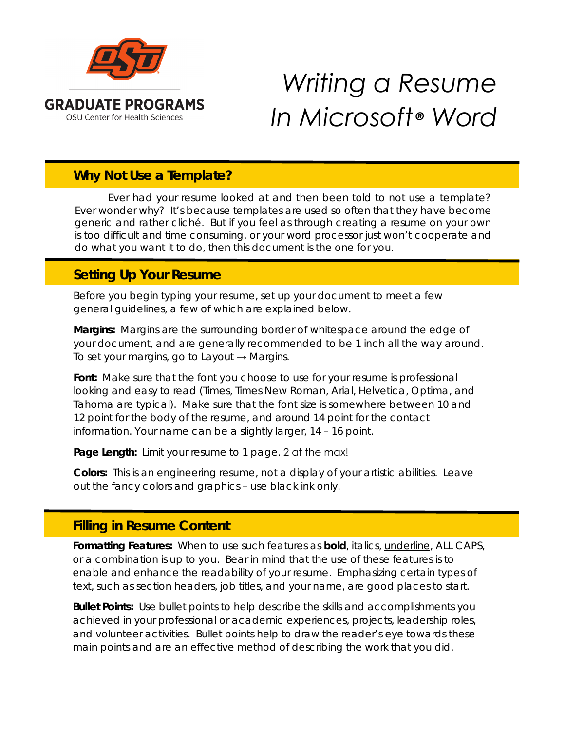

# *Writing a Resume In Microsoft® Word*

## **Why Not Use a Template?**

Ever had your resume looked at and then been told to not use a template? Ever wonder why? It's because templates are used so often that they have become generic and rather cliché. But if you feel as through creating a resume on your own is too difficult and time consuming, or your word processor just won't cooperate and do what you want it to do, then this document is the one for you.

## **Setting Up Your Resume**

Before you begin typing your resume, set up your document to meet a few general guidelines, a few of which are explained below.

*Margins:* Margins are the surrounding border of whitespace around the edge of your document, and are generally recommended to be 1 inch all the way around. To set your margins, go to *Layout* → *Margins*.

*Font:* Make sure that the font you choose to use for your resume is professional looking and easy to read (Times, Times New Roman, Arial, Helvetica, Optima, and Tahoma are typical). Make sure that the font size is somewhere between 10 and 12 point for the body of the resume, and around 14 point for the contact information. Your name can be a slightly larger, 14 – 16 point.

Page Length: Limit your resume to 1 page. 2 at the max!

*Colors:* This is an engineering resume, not a display of your artistic abilities. Leave out the fancy colors and graphics – use black ink only.

# **Filling in Resume Content**

*Formatting Features:*When to use such features as **bold**, *italics*, underline, ALL CAPS, or a combination is up to you. Bear in mind that the use of these features is to enable and enhance the readability of your resume. Emphasizing certain types of text, such as section headers, job titles, and your name, are good places to start.

*Bullet Points:* Use bullet points to help describe the skills and accomplishments you achieved in your professional or academic experiences, projects, leadership roles, and volunteer activities. Bullet points help to draw the reader's eye towards these main points and are an effective method of describing the work that you did.